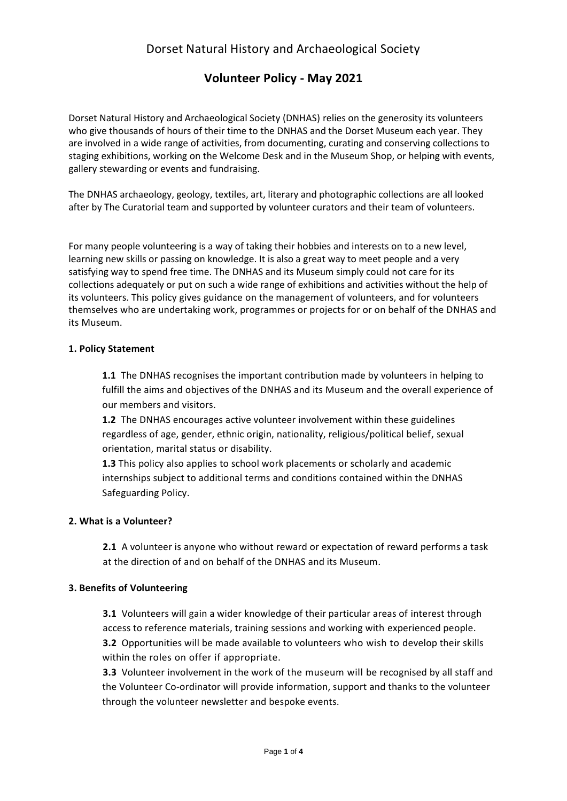# **Volunteer Policy - May 2021**

Dorset Natural History and Archaeological Society (DNHAS) relies on the generosity its volunteers who give thousands of hours of their time to the DNHAS and the Dorset Museum each year. They are involved in a wide range of activities, from documenting, curating and conserving collections to staging exhibitions, working on the Welcome Desk and in the Museum Shop, or helping with events, gallery stewarding or events and fundraising.

The DNHAS archaeology, geology, textiles, art, literary and photographic collections are all looked after by The Curatorial team and supported by volunteer curators and their team of volunteers.

For many people volunteering is a way of taking their hobbies and interests on to a new level, learning new skills or passing on knowledge. It is also a great way to meet people and a very satisfying way to spend free time. The DNHAS and its Museum simply could not care for its collections adequately or put on such a wide range of exhibitions and activities without the help of its volunteers. This policy gives guidance on the management of volunteers, and for volunteers themselves who are undertaking work, programmes or projects for or on behalf of the DNHAS and its Museum.

## **1. Policy Statement**

**1.1** The DNHAS recognises the important contribution made by volunteers in helping to fulfill the aims and objectives of the DNHAS and its Museum and the overall experience of our members and visitors.

**1.2** The DNHAS encourages active volunteer involvement within these guidelines regardless of age, gender, ethnic origin, nationality, religious/political belief, sexual orientation, marital status or disability.

**1.3** This policy also applies to school work placements or scholarly and academic internships subject to additional terms and conditions contained within the DNHAS Safeguarding Policy.

#### **2. What is a Volunteer?**

**2.1** A volunteer is anyone who without reward or expectation of reward performs a task at the direction of and on behalf of the DNHAS and its Museum.

## **3. Benefits of Volunteering**

**3.1** Volunteers will gain a wider knowledge of their particular areas of interest through access to reference materials, training sessions and working with experienced people. **3.2** Opportunities will be made available to volunteers who wish to develop their skills within the roles on offer if appropriate.

**3.3** Volunteer involvement in the work of the museum will be recognised by all staff and the Volunteer Co-ordinator will provide information, support and thanks to the volunteer through the volunteer newsletter and bespoke events.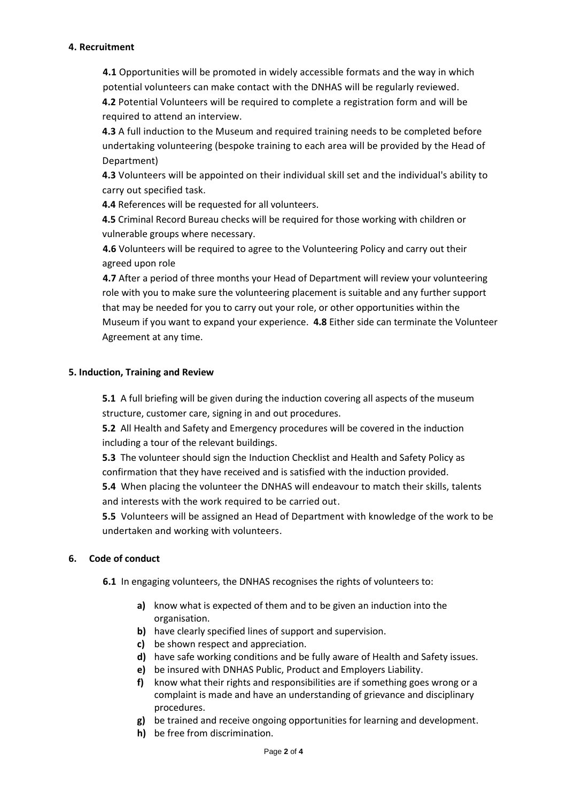#### **4. Recruitment**

**4.1** Opportunities will be promoted in widely accessible formats and the way in which potential volunteers can make contact with the DNHAS will be regularly reviewed. **4.2** Potential Volunteers will be required to complete a registration form and will be required to attend an interview.

**4.3** A full induction to the Museum and required training needs to be completed before undertaking volunteering (bespoke training to each area will be provided by the Head of Department)

**4.3** Volunteers will be appointed on their individual skill set and the individual's ability to carry out specified task.

**4.4** References will be requested for all volunteers.

**4.5** Criminal Record Bureau checks will be required for those working with children or vulnerable groups where necessary.

**4.6** Volunteers will be required to agree to the Volunteering Policy and carry out their agreed upon role

**4.7** After a period of three months your Head of Department will review your volunteering role with you to make sure the volunteering placement is suitable and any further support that may be needed for you to carry out your role, or other opportunities within the Museum if you want to expand your experience. **4.8** Either side can terminate the Volunteer Agreement at any time.

### **5. Induction, Training and Review**

**5.1** A full briefing will be given during the induction covering all aspects of the museum structure, customer care, signing in and out procedures.

**5.2** All Health and Safety and Emergency procedures will be covered in the induction including a tour of the relevant buildings.

**5.3** The volunteer should sign the Induction Checklist and Health and Safety Policy as confirmation that they have received and is satisfied with the induction provided.

**5.4** When placing the volunteer the DNHAS will endeavour to match their skills, talents and interests with the work required to be carried out.

**5.5** Volunteers will be assigned an Head of Department with knowledge of the work to be undertaken and working with volunteers.

## **6. Code of conduct**

**6.1** In engaging volunteers, the DNHAS recognises the rights of volunteers to:

- **a)** know what is expected of them and to be given an induction into the organisation.
- **b)** have clearly specified lines of support and supervision.
- **c)** be shown respect and appreciation.
- **d)** have safe working conditions and be fully aware of Health and Safety issues.
- **e)** be insured with DNHAS Public, Product and Employers Liability.
- **f)** know what their rights and responsibilities are if something goes wrong or a complaint is made and have an understanding of grievance and disciplinary procedures.
- **g)** be trained and receive ongoing opportunities for learning and development.
- **h)** be free from discrimination.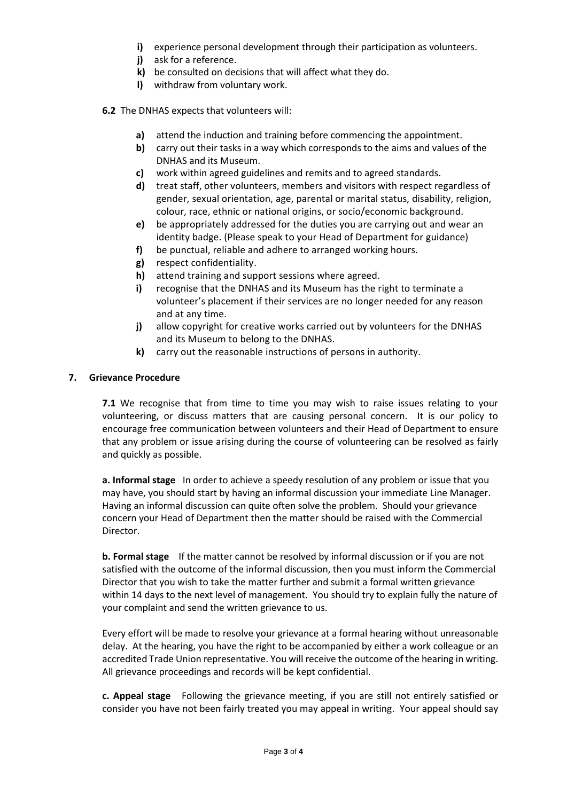- **i)** experience personal development through their participation as volunteers.
- **j)** ask for a reference.
- **k)** be consulted on decisions that will affect what they do.
- **l)** withdraw from voluntary work.
- **6.2** The DNHAS expects that volunteers will:
	- **a)** attend the induction and training before commencing the appointment.
	- **b)** carry out their tasks in a way which corresponds to the aims and values of the DNHAS and its Museum.
	- **c)** work within agreed guidelines and remits and to agreed standards.
	- **d)** treat staff, other volunteers, members and visitors with respect regardless of gender, sexual orientation, age, parental or marital status, disability, religion, colour, race, ethnic or national origins, or socio/economic background.
	- **e)** be appropriately addressed for the duties you are carrying out and wear an identity badge. (Please speak to your Head of Department for guidance)
	- **f)** be punctual, reliable and adhere to arranged working hours.
	- **g)** respect confidentiality.
	- **h)** attend training and support sessions where agreed.
	- **i)** recognise that the DNHAS and its Museum has the right to terminate a volunteer's placement if their services are no longer needed for any reason and at any time.
	- **j)** allow copyright for creative works carried out by volunteers for the DNHAS and its Museum to belong to the DNHAS.
	- **k)** carry out the reasonable instructions of persons in authority.

## **7. Grievance Procedure**

**7.1** We recognise that from time to time you may wish to raise issues relating to your volunteering, or discuss matters that are causing personal concern. It is our policy to encourage free communication between volunteers and their Head of Department to ensure that any problem or issue arising during the course of volunteering can be resolved as fairly and quickly as possible.

**a. Informal stage** In order to achieve a speedy resolution of any problem or issue that you may have, you should start by having an informal discussion your immediate Line Manager. Having an informal discussion can quite often solve the problem. Should your grievance concern your Head of Department then the matter should be raised with the Commercial Director.

**b. Formal stage** If the matter cannot be resolved by informal discussion or if you are not satisfied with the outcome of the informal discussion, then you must inform the Commercial Director that you wish to take the matter further and submit a formal written grievance within 14 days to the next level of management. You should try to explain fully the nature of your complaint and send the written grievance to us.

Every effort will be made to resolve your grievance at a formal hearing without unreasonable delay. At the hearing, you have the right to be accompanied by either a work colleague or an accredited Trade Union representative. You will receive the outcome of the hearing in writing. All grievance proceedings and records will be kept confidential.

**c. Appeal stage** Following the grievance meeting, if you are still not entirely satisfied or consider you have not been fairly treated you may appeal in writing. Your appeal should say